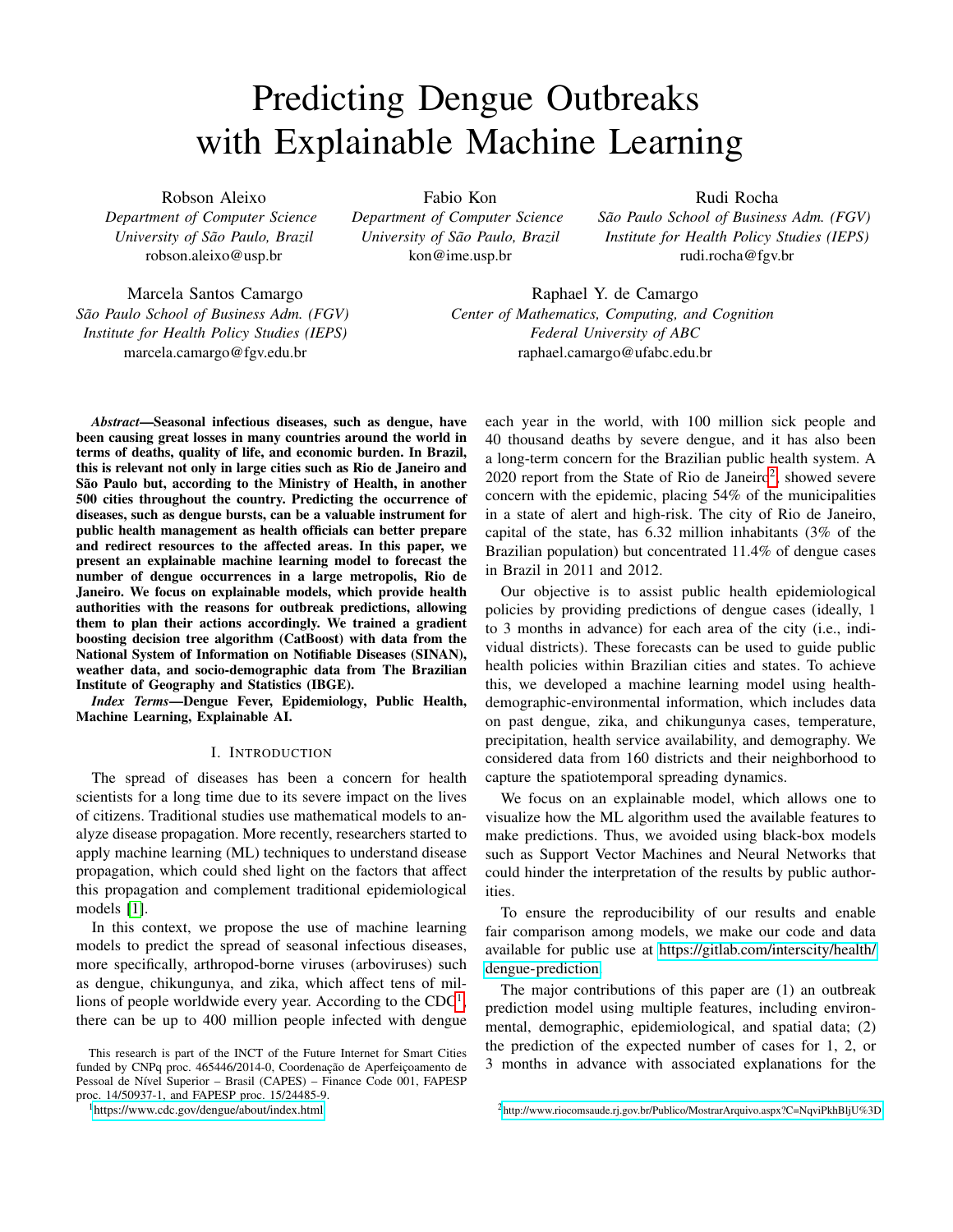# Predicting Dengue Outbreaks with Explainable Machine Learning

Robson Aleixo

*Department of Computer Science University of São Paulo, Brazil* robson.aleixo@usp.br

Fabio Kon

*Department of Computer Science University of São Paulo, Brazil* kon@ime.usp.br

Rudi Rocha

*São Paulo School of Business Adm. (FGV) Institute for Health Policy Studies (IEPS)* rudi.rocha@fgv.br

Marcela Santos Camargo São Paulo School of Business Adm. (FGV) *Institute for Health Policy Studies (IEPS)* marcela.camargo@fgv.edu.br

Raphael Y. de Camargo *Center of Mathematics, Computing, and Cognition Federal University of ABC* raphael.camargo@ufabc.edu.br

*Abstract*—Seasonal infectious diseases, such as dengue, have been causing great losses in many countries around the world in terms of deaths, quality of life, and economic burden. In Brazil, this is relevant not only in large cities such as Rio de Janeiro and São Paulo but, according to the Ministry of Health, in another 500 cities throughout the country. Predicting the occurrence of diseases, such as dengue bursts, can be a valuable instrument for public health management as health officials can better prepare and redirect resources to the affected areas. In this paper, we present an explainable machine learning model to forecast the number of dengue occurrences in a large metropolis, Rio de Janeiro. We focus on explainable models, which provide health authorities with the reasons for outbreak predictions, allowing them to plan their actions accordingly. We trained a gradient boosting decision tree algorithm (CatBoost) with data from the National System of Information on Notifiable Diseases (SINAN), weather data, and socio-demographic data from The Brazilian Institute of Geography and Statistics (IBGE).

*Index Terms*—Dengue Fever, Epidemiology, Public Health, Machine Learning, Explainable AI.

## I. INTRODUCTION

The spread of diseases has been a concern for health scientists for a long time due to its severe impact on the lives of citizens. Traditional studies use mathematical models to analyze disease propagation. More recently, researchers started to apply machine learning (ML) techniques to understand disease propagation, which could shed light on the factors that affect this propagation and complement traditional epidemiological models [\[1\]](#page-7-0).

In this context, we propose the use of machine learning models to predict the spread of seasonal infectious diseases, more specifically, arthropod-borne viruses (arboviruses) such as dengue, chikungunya, and zika, which affect tens of millions of people worldwide every year. According to the  $CDC<sup>1</sup>$  $CDC<sup>1</sup>$  $CDC<sup>1</sup>$ , there can be up to 400 million people infected with dengue

<span id="page-0-0"></span><sup>1</sup><https://www.cdc.gov/dengue/about/index.html>

each year in the world, with 100 million sick people and 40 thousand deaths by severe dengue, and it has also been a long-term concern for the Brazilian public health system. A  $2020$  $2020$  report from the State of Rio de Janeiro<sup>2</sup>, showed severe concern with the epidemic, placing 54% of the municipalities in a state of alert and high-risk. The city of Rio de Janeiro, capital of the state, has 6.32 million inhabitants (3% of the Brazilian population) but concentrated 11.4% of dengue cases in Brazil in 2011 and 2012.

Our objective is to assist public health epidemiological policies by providing predictions of dengue cases (ideally, 1 to 3 months in advance) for each area of the city (i.e., individual districts). These forecasts can be used to guide public health policies within Brazilian cities and states. To achieve this, we developed a machine learning model using healthdemographic-environmental information, which includes data on past dengue, zika, and chikungunya cases, temperature, precipitation, health service availability, and demography. We considered data from 160 districts and their neighborhood to capture the spatiotemporal spreading dynamics.

We focus on an explainable model, which allows one to visualize how the ML algorithm used the available features to make predictions. Thus, we avoided using black-box models such as Support Vector Machines and Neural Networks that could hinder the interpretation of the results by public authorities.

To ensure the reproducibility of our results and enable fair comparison among models, we make our code and data available for public use at [https://gitlab.com/interscity/health/](https://gitlab.com/interscity/health/dengue-prediction) [dengue-prediction.](https://gitlab.com/interscity/health/dengue-prediction)

The major contributions of this paper are (1) an outbreak prediction model using multiple features, including environmental, demographic, epidemiological, and spatial data; (2) the prediction of the expected number of cases for 1, 2, or 3 months in advance with associated explanations for the

This research is part of the INCT of the Future Internet for Smart Cities funded by CNPq proc. 465446/2014-0, Coordenação de Aperfeiçoamento de Pessoal de Nível Superior - Brasil (CAPES) - Finance Code 001, FAPESP proc. 14/50937-1, and FAPESP proc. 15/24485-9.

<span id="page-0-1"></span><sup>2</sup> <http://www.riocomsaude.rj.gov.br/Publico/MostrarArquivo.aspx?C=NqviPkhBljU%3D>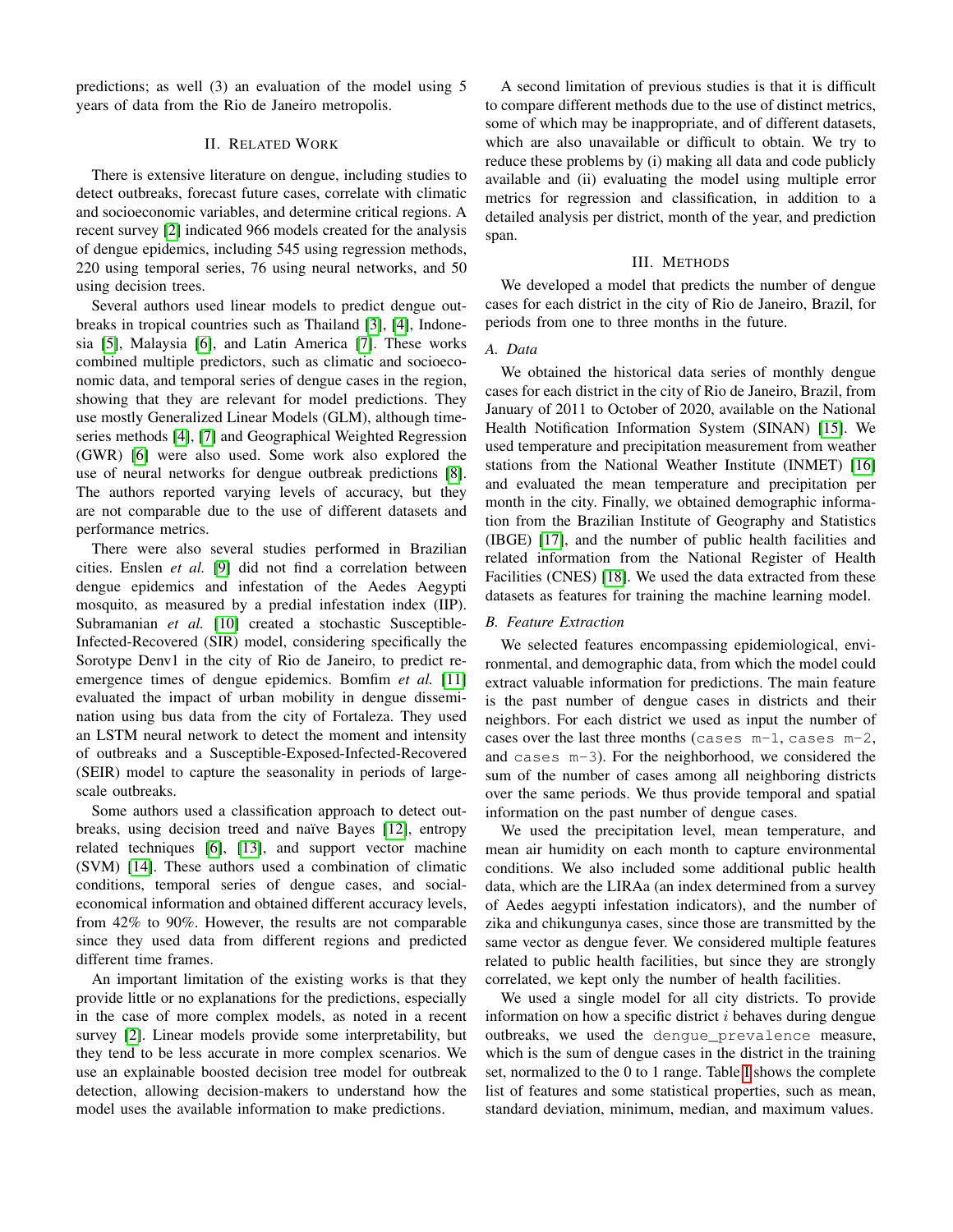predictions; as well (3) an evaluation of the model using 5 years of data from the Rio de Janeiro metropolis.

### II. RELATED WORK

There is extensive literature on dengue, including studies to detect outbreaks, forecast future cases, correlate with climatic and socioeconomic variables, and determine critical regions. A recent survey [\[2\]](#page-7-1) indicated 966 models created for the analysis of dengue epidemics, including 545 using regression methods, 220 using temporal series, 76 using neural networks, and 50 using decision trees.

Several authors used linear models to predict dengue outbreaks in tropical countries such as Thailand [\[3\]](#page-7-2), [\[4\]](#page-7-3), Indonesia [\[5\]](#page-7-4), Malaysia [\[6\]](#page-7-5), and Latin America [\[7\]](#page-7-6). These works combined multiple predictors, such as climatic and socioeconomic data, and temporal series of dengue cases in the region, showing that they are relevant for model predictions. They use mostly Generalized Linear Models (GLM), although timeseries methods [\[4\]](#page-7-3), [\[7\]](#page-7-6) and Geographical Weighted Regression (GWR) [\[6\]](#page-7-5) were also used. Some work also explored the use of neural networks for dengue outbreak predictions [\[8\]](#page-7-7). The authors reported varying levels of accuracy, but they are not comparable due to the use of different datasets and performance metrics.

There were also several studies performed in Brazilian cities. Enslen *et al.* [\[9\]](#page-7-8) did not find a correlation between dengue epidemics and infestation of the Aedes Aegypti mosquito, as measured by a predial infestation index (IIP). Subramanian *et al.* [\[10\]](#page-7-9) created a stochastic Susceptible-Infected-Recovered (SIR) model, considering specifically the Sorotype Denv1 in the city of Rio de Janeiro, to predict reemergence times of dengue epidemics. Bomfim *et al.* [\[11\]](#page-7-10) evaluated the impact of urban mobility in dengue dissemination using bus data from the city of Fortaleza. They used an LSTM neural network to detect the moment and intensity of outbreaks and a Susceptible-Exposed-Infected-Recovered (SEIR) model to capture the seasonality in periods of largescale outbreaks.

Some authors used a classification approach to detect out-breaks, using decision treed and naïve Bayes [\[12\]](#page-7-11), entropy related techniques [\[6\]](#page-7-5), [\[13\]](#page-7-12), and support vector machine (SVM) [\[14\]](#page-7-13). These authors used a combination of climatic conditions, temporal series of dengue cases, and socialeconomical information and obtained different accuracy levels, from 42% to 90%. However, the results are not comparable since they used data from different regions and predicted different time frames.

An important limitation of the existing works is that they provide little or no explanations for the predictions, especially in the case of more complex models, as noted in a recent survey [\[2\]](#page-7-1). Linear models provide some interpretability, but they tend to be less accurate in more complex scenarios. We use an explainable boosted decision tree model for outbreak detection, allowing decision-makers to understand how the model uses the available information to make predictions.

A second limitation of previous studies is that it is difficult to compare different methods due to the use of distinct metrics, some of which may be inappropriate, and of different datasets, which are also unavailable or difficult to obtain. We try to reduce these problems by (i) making all data and code publicly available and (ii) evaluating the model using multiple error metrics for regression and classification, in addition to a detailed analysis per district, month of the year, and prediction span.

#### III. METHODS

We developed a model that predicts the number of dengue cases for each district in the city of Rio de Janeiro, Brazil, for periods from one to three months in the future.

#### *A. Data*

We obtained the historical data series of monthly dengue cases for each district in the city of Rio de Janeiro, Brazil, from January of 2011 to October of 2020, available on the National Health Notification Information System (SINAN) [\[15\]](#page-7-14). We used temperature and precipitation measurement from weather stations from the National Weather Institute (INMET) [\[16\]](#page-7-15) and evaluated the mean temperature and precipitation per month in the city. Finally, we obtained demographic information from the Brazilian Institute of Geography and Statistics (IBGE) [\[17\]](#page-7-16), and the number of public health facilities and related information from the National Register of Health Facilities (CNES) [\[18\]](#page-7-17). We used the data extracted from these datasets as features for training the machine learning model.

#### *B. Feature Extraction*

We selected features encompassing epidemiological, environmental, and demographic data, from which the model could extract valuable information for predictions. The main feature is the past number of dengue cases in districts and their neighbors. For each district we used as input the number of cases over the last three months (cases m-1, cases m-2, and cases m-3). For the neighborhood, we considered the sum of the number of cases among all neighboring districts over the same periods. We thus provide temporal and spatial information on the past number of dengue cases.

We used the precipitation level, mean temperature, and mean air humidity on each month to capture environmental conditions. We also included some additional public health data, which are the LIRAa (an index determined from a survey of Aedes aegypti infestation indicators), and the number of zika and chikungunya cases, since those are transmitted by the same vector as dengue fever. We considered multiple features related to public health facilities, but since they are strongly correlated, we kept only the number of health facilities.

We used a single model for all city districts. To provide information on how a specific district  $i$  behaves during dengue outbreaks, we used the dengue\_prevalence measure, which is the sum of dengue cases in the district in the training set, normalized to the 0 to 1 range. Table [I](#page-2-0) shows the complete list of features and some statistical properties, such as mean, standard deviation, minimum, median, and maximum values.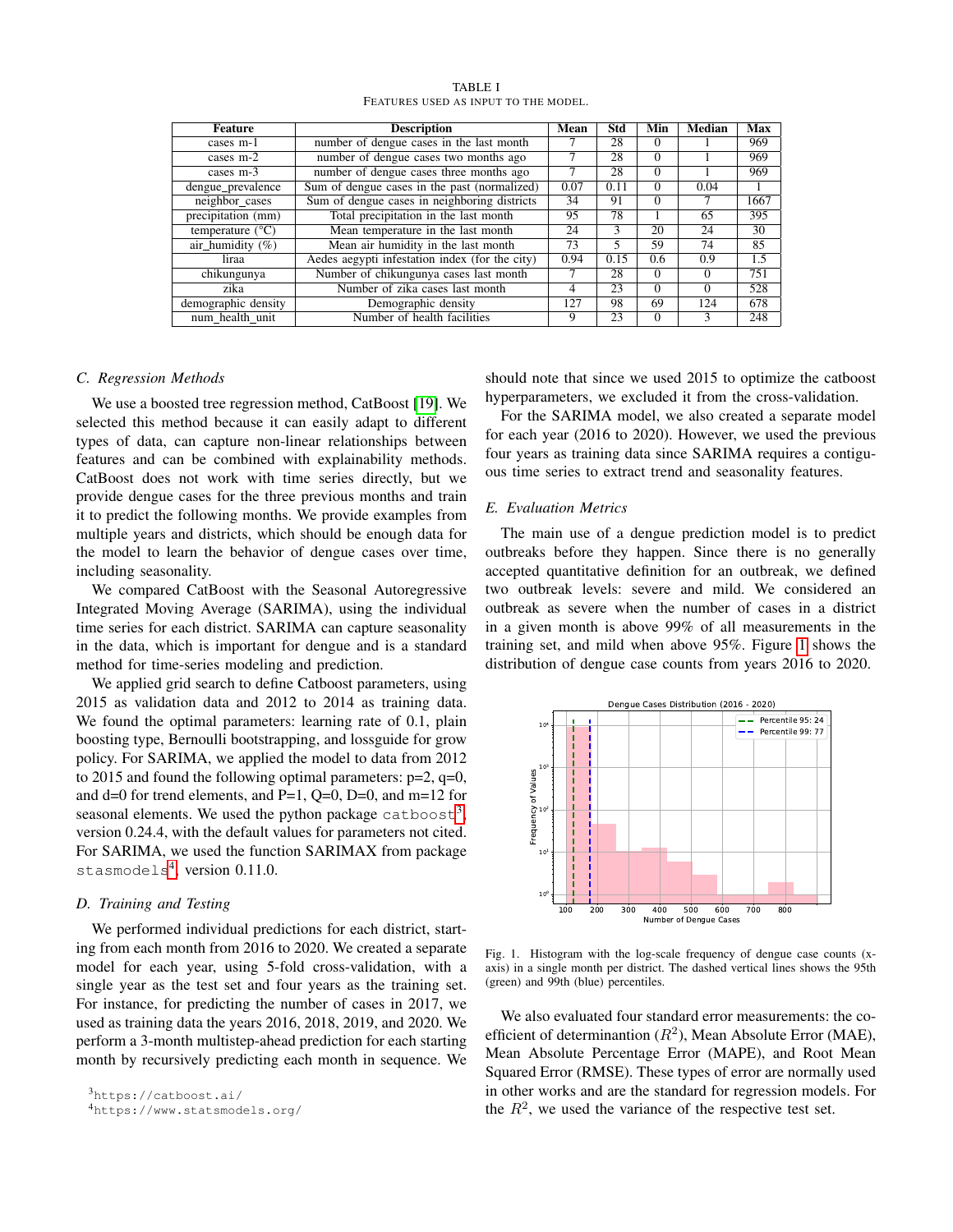<span id="page-2-0"></span>

| <b>Feature</b>            | <b>Description</b>                             | Mean | Std  | Min      | Median       | Max  |
|---------------------------|------------------------------------------------|------|------|----------|--------------|------|
| cases m-1                 | number of dengue cases in the last month       |      | 28   | $\Omega$ |              | 969  |
| cases $m-2$               | number of dengue cases two months ago          |      | 28   | $\Omega$ |              | 969  |
| cases m-3                 | number of dengue cases three months ago        |      | 28   | $\Omega$ |              | 969  |
| dengue_prevalence         | Sum of dengue cases in the past (normalized)   | 0.07 | 0.11 | $\Omega$ | 0.04         |      |
| neighbor cases            | Sum of dengue cases in neighboring districts   | 34   | 91   | $\Omega$ |              | 1667 |
| precipitation (mm)        | Total precipitation in the last month          | 95   | 78   |          | 65           | 395  |
| temperature $(^{\circ}C)$ | Mean temperature in the last month             | 24   | 3    | 20       | 24           | 30   |
| air_humidity $(\% )$      | Mean air humidity in the last month            | 73   | 5    | 59       | 74           | 85   |
| liraa                     | Aedes aegypti infestation index (for the city) | 0.94 | 0.15 | 0.6      | 0.9          | 1.5  |
| chikungunya               | Number of chikungunya cases last month         |      | 28   | $\Omega$ | $\Omega$     | 751  |
| zika                      | Number of zika cases last month                | 4    | 23   | $\Omega$ | $\Omega$     | 528  |
| demographic density       | Demographic density                            | 127  | 98   | 69       | 124          | 678  |
| num health unit           | Number of health facilities                    | 9    | 23   | $\Omega$ | $\mathbf{3}$ | 248  |

TABLE I FEATURES USED AS INPUT TO THE MODEL.

#### *C. Regression Methods*

We use a boosted tree regression method, CatBoost [\[19\]](#page-7-18). We selected this method because it can easily adapt to different types of data, can capture non-linear relationships between features and can be combined with explainability methods. CatBoost does not work with time series directly, but we provide dengue cases for the three previous months and train it to predict the following months. We provide examples from multiple years and districts, which should be enough data for the model to learn the behavior of dengue cases over time, including seasonality.

We compared CatBoost with the Seasonal Autoregressive Integrated Moving Average (SARIMA), using the individual time series for each district. SARIMA can capture seasonality in the data, which is important for dengue and is a standard method for time-series modeling and prediction.

We applied grid search to define Catboost parameters, using 2015 as validation data and 2012 to 2014 as training data. We found the optimal parameters: learning rate of 0.1, plain boosting type, Bernoulli bootstrapping, and lossguide for grow policy. For SARIMA, we applied the model to data from 2012 to 2015 and found the following optimal parameters:  $p=2$ ,  $q=0$ , and d=0 for trend elements, and P=1, Q=0, D=0, and m=12 for seasonal elements. We used the python package catboost<sup>[3](#page-2-1)</sup>, version 0.24.4, with the default values for parameters not cited. For SARIMA, we used the function SARIMAX from package stasmodels<sup>[4](#page-2-2)</sup>, version 0.11.0.

## *D. Training and Testing*

We performed individual predictions for each district, starting from each month from 2016 to 2020. We created a separate model for each year, using 5-fold cross-validation, with a single year as the test set and four years as the training set. For instance, for predicting the number of cases in 2017, we used as training data the years 2016, 2018, 2019, and 2020. We perform a 3-month multistep-ahead prediction for each starting month by recursively predicting each month in sequence. We

<span id="page-2-2"></span><sup>4</sup>https://www.statsmodels.org/

should note that since we used 2015 to optimize the catboost hyperparameters, we excluded it from the cross-validation.

For the SARIMA model, we also created a separate model for each year (2016 to 2020). However, we used the previous four years as training data since SARIMA requires a contiguous time series to extract trend and seasonality features.

#### *E. Evaluation Metrics*

The main use of a dengue prediction model is to predict outbreaks before they happen. Since there is no generally accepted quantitative definition for an outbreak, we defined two outbreak levels: severe and mild. We considered an outbreak as severe when the number of cases in a district in a given month is above 99% of all measurements in the training set, and mild when above 95%. Figure [1](#page-2-3) shows the distribution of dengue case counts from years 2016 to 2020.



<span id="page-2-3"></span>Fig. 1. Histogram with the log-scale frequency of dengue case counts (xaxis) in a single month per district. The dashed vertical lines shows the 95th (green) and 99th (blue) percentiles.

We also evaluated four standard error measurements: the coefficient of determinantion  $(R^2)$ , Mean Absolute Error (MAE), Mean Absolute Percentage Error (MAPE), and Root Mean Squared Error (RMSE). These types of error are normally used in other works and are the standard for regression models. For the  $R^2$ , we used the variance of the respective test set.

<span id="page-2-1"></span><sup>3</sup>https://catboost.ai/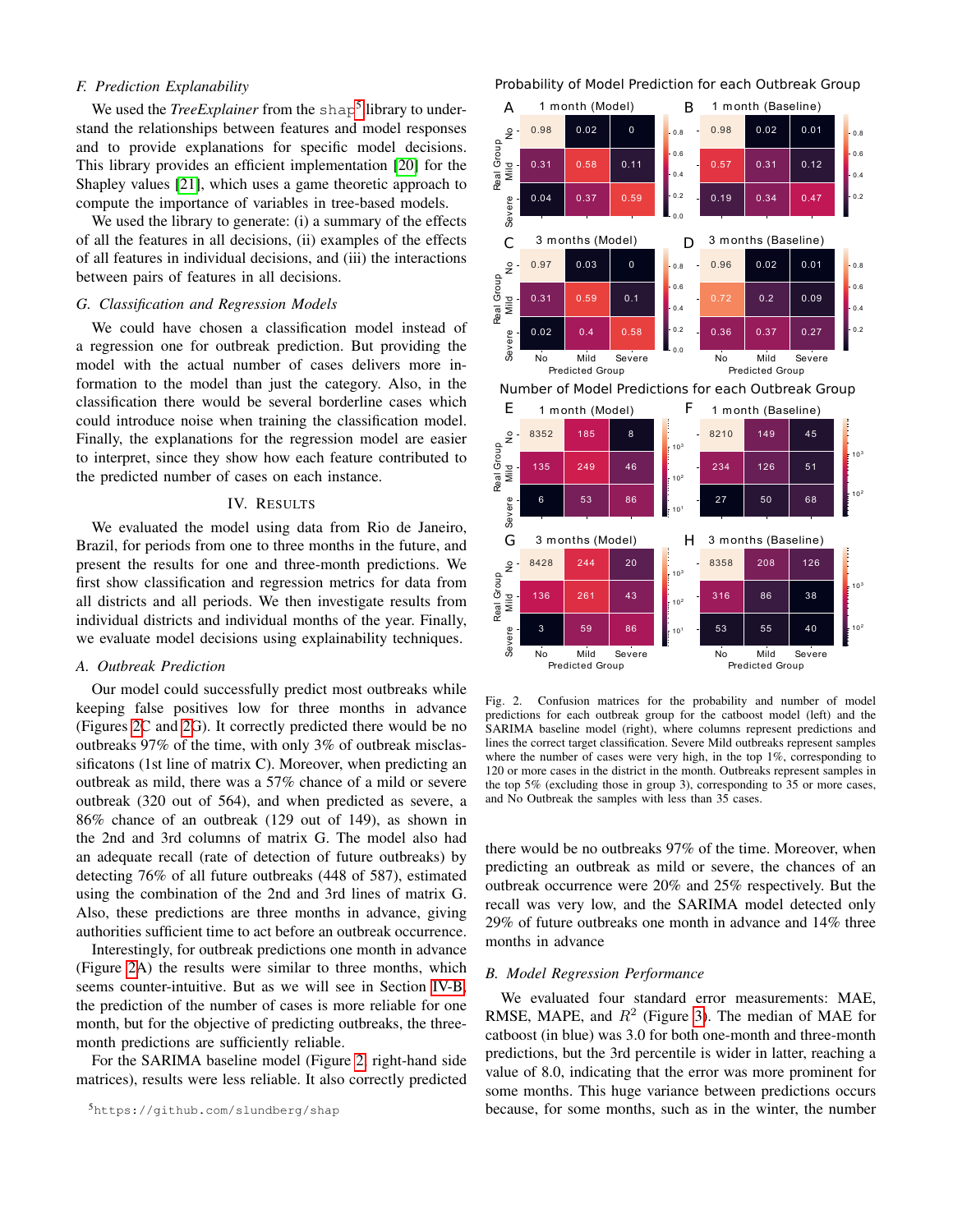## *F. Prediction Explanability*

We used the *TreeExplainer* from the shap<sup>[5](#page-3-0)</sup> library to understand the relationships between features and model responses and to provide explanations for specific model decisions. This library provides an efficient implementation [\[20\]](#page-7-19) for the Shapley values [\[21\]](#page-7-20), which uses a game theoretic approach to compute the importance of variables in tree-based models.

We used the library to generate: (i) a summary of the effects of all the features in all decisions, (ii) examples of the effects of all features in individual decisions, and (iii) the interactions between pairs of features in all decisions.

## *G. Classification and Regression Models*

We could have chosen a classification model instead of a regression one for outbreak prediction. But providing the model with the actual number of cases delivers more information to the model than just the category. Also, in the classification there would be several borderline cases which could introduce noise when training the classification model. Finally, the explanations for the regression model are easier to interpret, since they show how each feature contributed to the predicted number of cases on each instance.

## IV. RESULTS

We evaluated the model using data from Rio de Janeiro, Brazil, for periods from one to three months in the future, and present the results for one and three-month predictions. We first show classification and regression metrics for data from all districts and all periods. We then investigate results from individual districts and individual months of the year. Finally, we evaluate model decisions using explainability techniques.

#### *A. Outbreak Prediction*

Our model could successfully predict most outbreaks while keeping false positives low for three months in advance (Figures [2C](#page-3-1) and [2G](#page-3-1)). It correctly predicted there would be no outbreaks 97% of the time, with only 3% of outbreak misclassificatons (1st line of matrix C). Moreover, when predicting an outbreak as mild, there was a 57% chance of a mild or severe outbreak (320 out of 564), and when predicted as severe, a 86% chance of an outbreak (129 out of 149), as shown in the 2nd and 3rd columns of matrix G. The model also had an adequate recall (rate of detection of future outbreaks) by detecting 76% of all future outbreaks (448 of 587), estimated using the combination of the 2nd and 3rd lines of matrix G. Also, these predictions are three months in advance, giving authorities sufficient time to act before an outbreak occurrence.

Interestingly, for outbreak predictions one month in advance (Figure [2A](#page-3-1)) the results were similar to three months, which seems counter-intuitive. But as we will see in Section [IV-B,](#page-3-2) the prediction of the number of cases is more reliable for one month, but for the objective of predicting outbreaks, the threemonth predictions are sufficiently reliable.

For the SARIMA baseline model (Figure [2,](#page-3-1) right-hand side matrices), results were less reliable. It also correctly predicted

## Probability of Model Prediction for each Outbreak Group



<span id="page-3-1"></span>Fig. 2. Confusion matrices for the probability and number of model predictions for each outbreak group for the catboost model (left) and the SARIMA baseline model (right), where columns represent predictions and lines the correct target classification. Severe Mild outbreaks represent samples where the number of cases were very high, in the top 1%, corresponding to 120 or more cases in the district in the month. Outbreaks represent samples in the top 5% (excluding those in group 3), corresponding to 35 or more cases, and No Outbreak the samples with less than 35 cases.

there would be no outbreaks 97% of the time. Moreover, when predicting an outbreak as mild or severe, the chances of an outbreak occurrence were 20% and 25% respectively. But the recall was very low, and the SARIMA model detected only 29% of future outbreaks one month in advance and 14% three months in advance

## <span id="page-3-2"></span>*B. Model Regression Performance*

We evaluated four standard error measurements: MAE, RMSE, MAPE, and  $R^2$  (Figure [3\)](#page-4-0). The median of MAE for catboost (in blue) was 3.0 for both one-month and three-month predictions, but the 3rd percentile is wider in latter, reaching a value of 8.0, indicating that the error was more prominent for some months. This huge variance between predictions occurs because, for some months, such as in the winter, the number

<span id="page-3-0"></span><sup>5</sup>https://github.com/slundberg/shap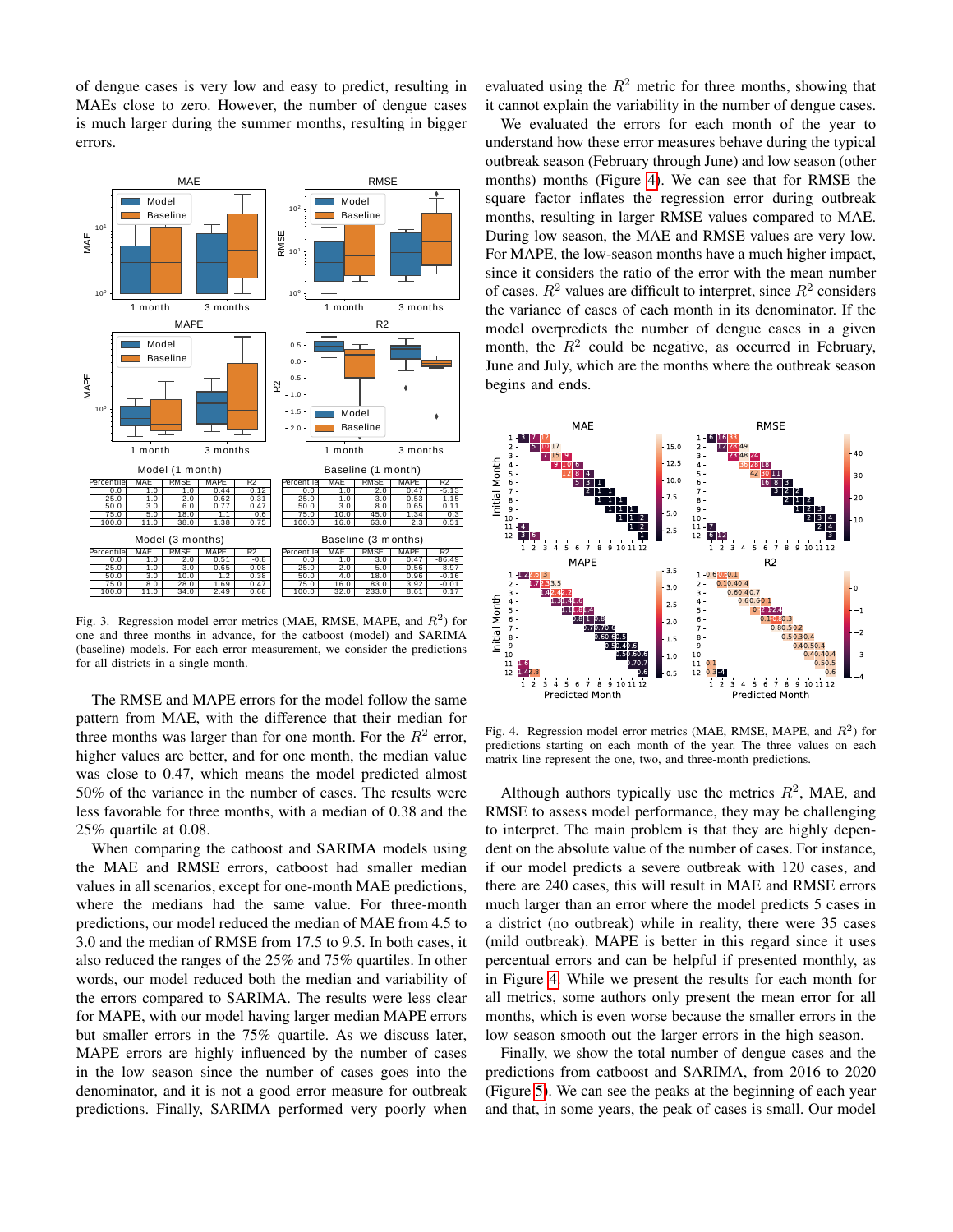of dengue cases is very low and easy to predict, resulting in MAEs close to zero. However, the number of dengue cases is much larger during the summer months, resulting in bigger errors.



<span id="page-4-0"></span>Fig. 3. Regression model error metrics (MAE, RMSE, MAPE, and  $R^2$ ) for one and three months in advance, for the catboost (model) and SARIMA (baseline) models. For each error measurement, we consider the predictions for all districts in a single month.

The RMSE and MAPE errors for the model follow the same pattern from MAE, with the difference that their median for three months was larger than for one month. For the  $R^2$  error, higher values are better, and for one month, the median value was close to 0.47, which means the model predicted almost 50% of the variance in the number of cases. The results were less favorable for three months, with a median of 0.38 and the 25% quartile at 0.08.

When comparing the catboost and SARIMA models using the MAE and RMSE errors, catboost had smaller median values in all scenarios, except for one-month MAE predictions, where the medians had the same value. For three-month predictions, our model reduced the median of MAE from 4.5 to 3.0 and the median of RMSE from 17.5 to 9.5. In both cases, it also reduced the ranges of the 25% and 75% quartiles. In other words, our model reduced both the median and variability of the errors compared to SARIMA. The results were less clear for MAPE, with our model having larger median MAPE errors but smaller errors in the 75% quartile. As we discuss later, MAPE errors are highly influenced by the number of cases in the low season since the number of cases goes into the denominator, and it is not a good error measure for outbreak predictions. Finally, SARIMA performed very poorly when

evaluated using the  $R^2$  metric for three months, showing that it cannot explain the variability in the number of dengue cases.

We evaluated the errors for each month of the year to understand how these error measures behave during the typical outbreak season (February through June) and low season (other months) months (Figure [4\)](#page-4-1). We can see that for RMSE the square factor inflates the regression error during outbreak months, resulting in larger RMSE values compared to MAE. During low season, the MAE and RMSE values are very low. For MAPE, the low-season months have a much higher impact, since it considers the ratio of the error with the mean number of cases.  $R^2$  values are difficult to interpret, since  $R^2$  considers the variance of cases of each month in its denominator. If the model overpredicts the number of dengue cases in a given month, the  $R^2$  could be negative, as occurred in February, June and July, which are the months where the outbreak season begins and ends.



<span id="page-4-1"></span>Fig. 4. Regression model error metrics (MAE, RMSE, MAPE, and  $R^2$ ) for predictions starting on each month of the year. The three values on each matrix line represent the one, two, and three-month predictions.

Although authors typically use the metrics  $R^2$ , MAE, and RMSE to assess model performance, they may be challenging to interpret. The main problem is that they are highly dependent on the absolute value of the number of cases. For instance, if our model predicts a severe outbreak with 120 cases, and there are 240 cases, this will result in MAE and RMSE errors much larger than an error where the model predicts 5 cases in a district (no outbreak) while in reality, there were 35 cases (mild outbreak). MAPE is better in this regard since it uses percentual errors and can be helpful if presented monthly, as in Figure [4.](#page-4-1) While we present the results for each month for all metrics, some authors only present the mean error for all months, which is even worse because the smaller errors in the low season smooth out the larger errors in the high season.

Finally, we show the total number of dengue cases and the predictions from catboost and SARIMA, from 2016 to 2020 (Figure [5\)](#page-5-0). We can see the peaks at the beginning of each year and that, in some years, the peak of cases is small. Our model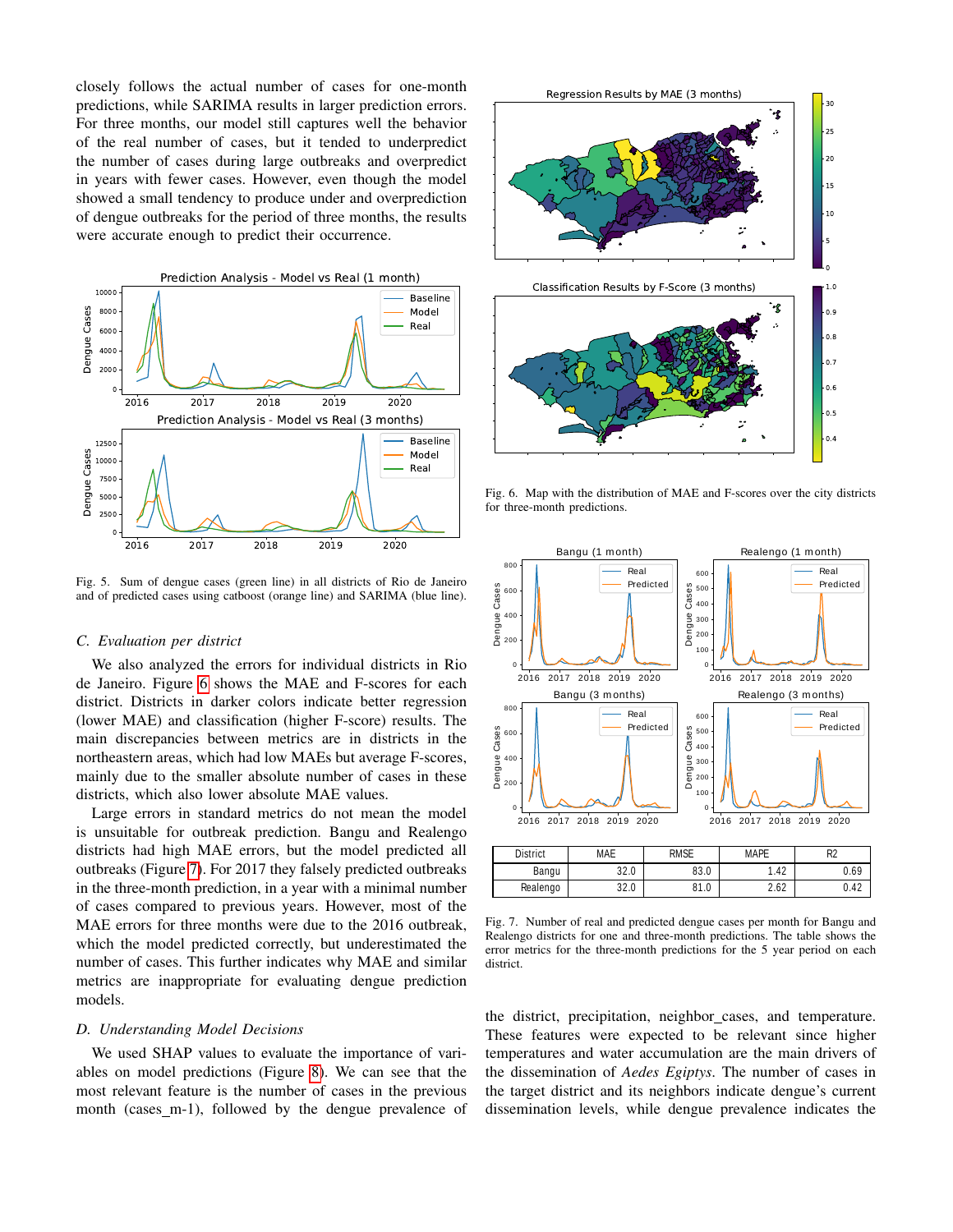closely follows the actual number of cases for one-month predictions, while SARIMA results in larger prediction errors. For three months, our model still captures well the behavior of the real number of cases, but it tended to underpredict the number of cases during large outbreaks and overpredict in years with fewer cases. However, even though the model showed a small tendency to produce under and overprediction of dengue outbreaks for the period of three months, the results were accurate enough to predict their occurrence.



<span id="page-5-0"></span>Fig. 5. Sum of dengue cases (green line) in all districts of Rio de Janeiro and of predicted cases using catboost (orange line) and SARIMA (blue line).

### *C. Evaluation per district*

We also analyzed the errors for individual districts in Rio de Janeiro. Figure [6](#page-5-1) shows the MAE and F-scores for each district. Districts in darker colors indicate better regression (lower MAE) and classification (higher F-score) results. The main discrepancies between metrics are in districts in the northeastern areas, which had low MAEs but average F-scores, mainly due to the smaller absolute number of cases in these districts, which also lower absolute MAE values.

Large errors in standard metrics do not mean the model is unsuitable for outbreak prediction. Bangu and Realengo districts had high MAE errors, but the model predicted all outbreaks (Figure [7\)](#page-5-2). For 2017 they falsely predicted outbreaks in the three-month prediction, in a year with a minimal number of cases compared to previous years. However, most of the MAE errors for three months were due to the 2016 outbreak, which the model predicted correctly, but underestimated the number of cases. This further indicates why MAE and similar metrics are inappropriate for evaluating dengue prediction models.

#### *D. Understanding Model Decisions*

We used SHAP values to evaluate the importance of variables on model predictions (Figure [8\)](#page-6-0). We can see that the most relevant feature is the number of cases in the previous month (cases m-1), followed by the dengue prevalence of



<span id="page-5-1"></span>Fig. 6. Map with the distribution of MAE and F-scores over the city districts for three-month predictions.



Bangu | 32.0 | 83.0 | 1.42 | 0.69 | Realengo 32.0 81.0 2.62 0.42 Fig. 7. Number of real and predicted dengue cases per month for Bangu and

<span id="page-5-2"></span>Realengo districts for one and three-month predictions. The table shows the error metrics for the three-month predictions for the 5 year period on each district.

the district, precipitation, neighbor\_cases, and temperature. These features were expected to be relevant since higher temperatures and water accumulation are the main drivers of the dissemination of *Aedes Egiptys*. The number of cases in the target district and its neighbors indicate dengue's current dissemination levels, while dengue prevalence indicates the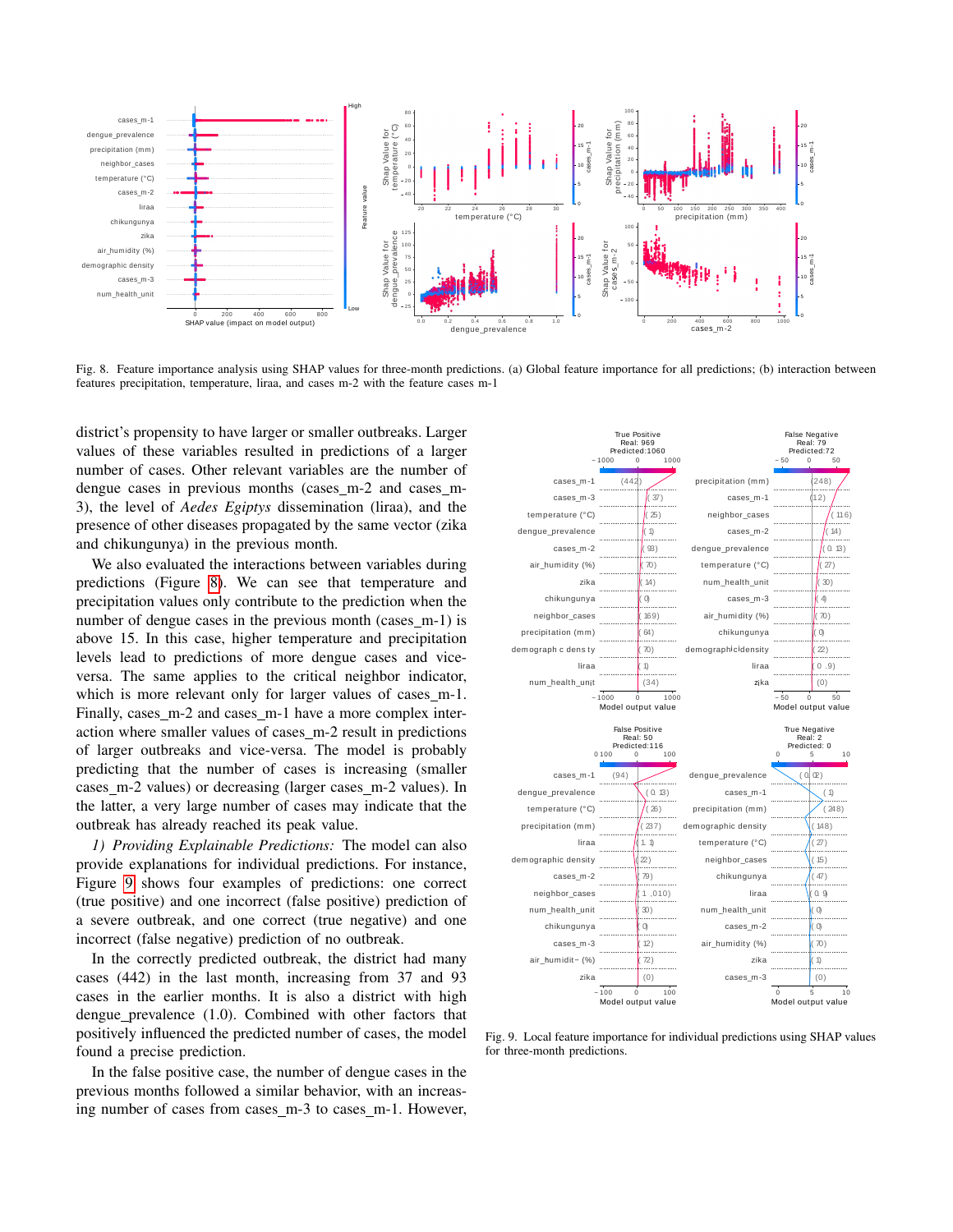

<span id="page-6-0"></span>Fig. 8. Feature importance analysis using SHAP values for three-month predictions. (a) Global feature importance for all predictions; (b) interaction between features precipitation, temperature, liraa, and cases m-2 with the feature cases m-1

district's propensity to have larger or smaller outbreaks. Larger values of these variables resulted in predictions of a larger number of cases. Other relevant variables are the number of dengue cases in previous months (cases\_m-2 and cases\_m-3), the level of *Aedes Egiptys* dissemination (liraa), and the presence of other diseases propagated by the same vector (zika and chikungunya) in the previous month.

We also evaluated the interactions between variables during predictions (Figure [8\)](#page-6-0). We can see that temperature and precipitation values only contribute to the prediction when the number of dengue cases in the previous month (cases m-1) is above 15. In this case, higher temperature and precipitation levels lead to predictions of more dengue cases and viceversa. The same applies to the critical neighbor indicator, which is more relevant only for larger values of cases\_m-1. Finally, cases\_m-2 and cases\_m-1 have a more complex interaction where smaller values of cases\_m-2 result in predictions of larger outbreaks and vice-versa. The model is probably predicting that the number of cases is increasing (smaller cases m-2 values) or decreasing (larger cases m-2 values). In the latter, a very large number of cases may indicate that the outbreak has already reached its peak value.

*1) Providing Explainable Predictions:* The model can also provide explanations for individual predictions. For instance, Figure [9](#page-6-1) shows four examples of predictions: one correct (true positive) and one incorrect (false positive) prediction of a severe outbreak, and one correct (true negative) and one incorrect (false negative) prediction of no outbreak.

In the correctly predicted outbreak, the district had many cases (442) in the last month, increasing from 37 and 93 cases in the earlier months. It is also a district with high dengue prevalence (1.0). Combined with other factors that positively influenced the predicted number of cases, the model found a precise prediction.

In the false positive case, the number of dengue cases in the previous months followed a similar behavior, with an increasing number of cases from cases m-3 to cases m-1. However,



<span id="page-6-1"></span>Fig. 9. Local feature importance for individual predictions using SHAP values for three-month predictions.